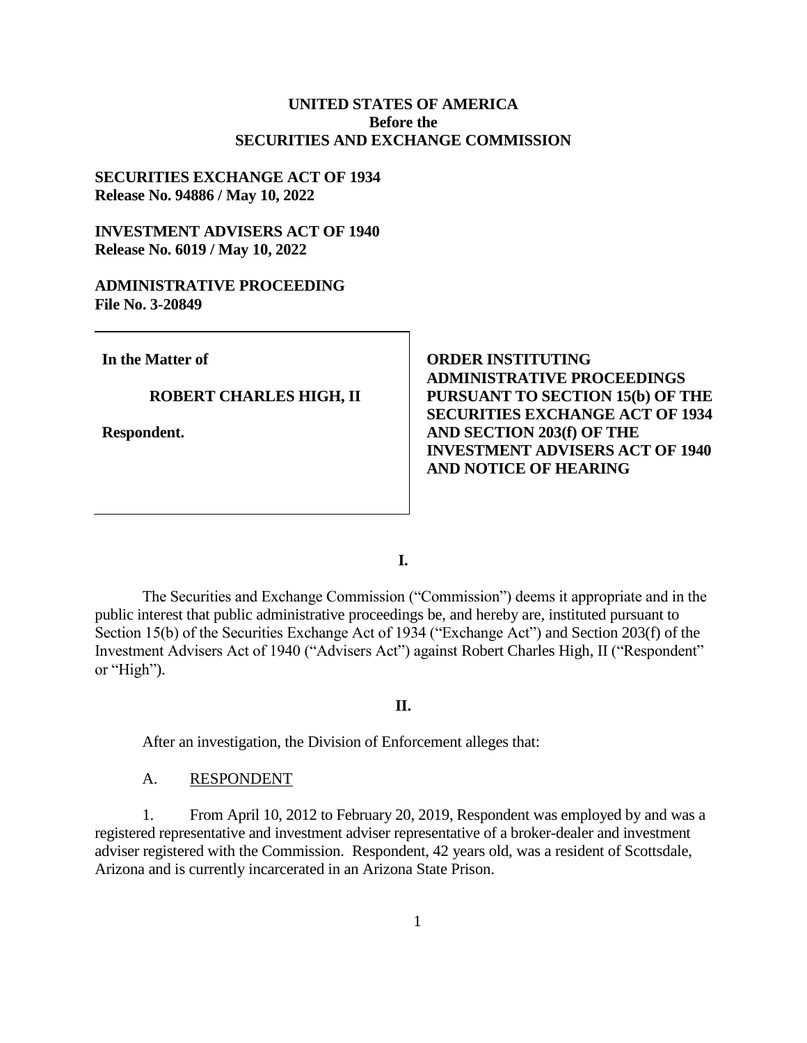# **UNITED STATES OF AMERICA Before the SECURITIES AND EXCHANGE COMMISSION**

## **SECURITIES EXCHANGE ACT OF 1934 Release No. 94886 / May 10, 2022**

# **INVESTMENT ADVISERS ACT OF 1940 Release No. 6019 / May 10, 2022**

## **ADMINISTRATIVE PROCEEDING File No. 3-20849**

**In the Matter of**

#### **ROBERT CHARLES HIGH, II**

**Respondent.**

**ORDER INSTITUTING ADMINISTRATIVE PROCEEDINGS PURSUANT TO SECTION 15(b) OF THE SECURITIES EXCHANGE ACT OF 1934 AND SECTION 203(f) OF THE INVESTMENT ADVISERS ACT OF 1940 AND NOTICE OF HEARING** 

**I.**

The Securities and Exchange Commission ("Commission") deems it appropriate and in the public interest that public administrative proceedings be, and hereby are, instituted pursuant to Section 15(b) of the Securities Exchange Act of 1934 ("Exchange Act") and Section 203(f) of the Investment Advisers Act of 1940 ("Advisers Act") against Robert Charles High, II ("Respondent" or "High").

### **II.**

After an investigation, the Division of Enforcement alleges that:

## A. RESPONDENT

1. From April 10, 2012 to February 20, 2019, Respondent was employed by and was a registered representative and investment adviser representative of a broker-dealer and investment adviser registered with the Commission. Respondent, 42 years old, was a resident of Scottsdale, Arizona and is currently incarcerated in an Arizona State Prison.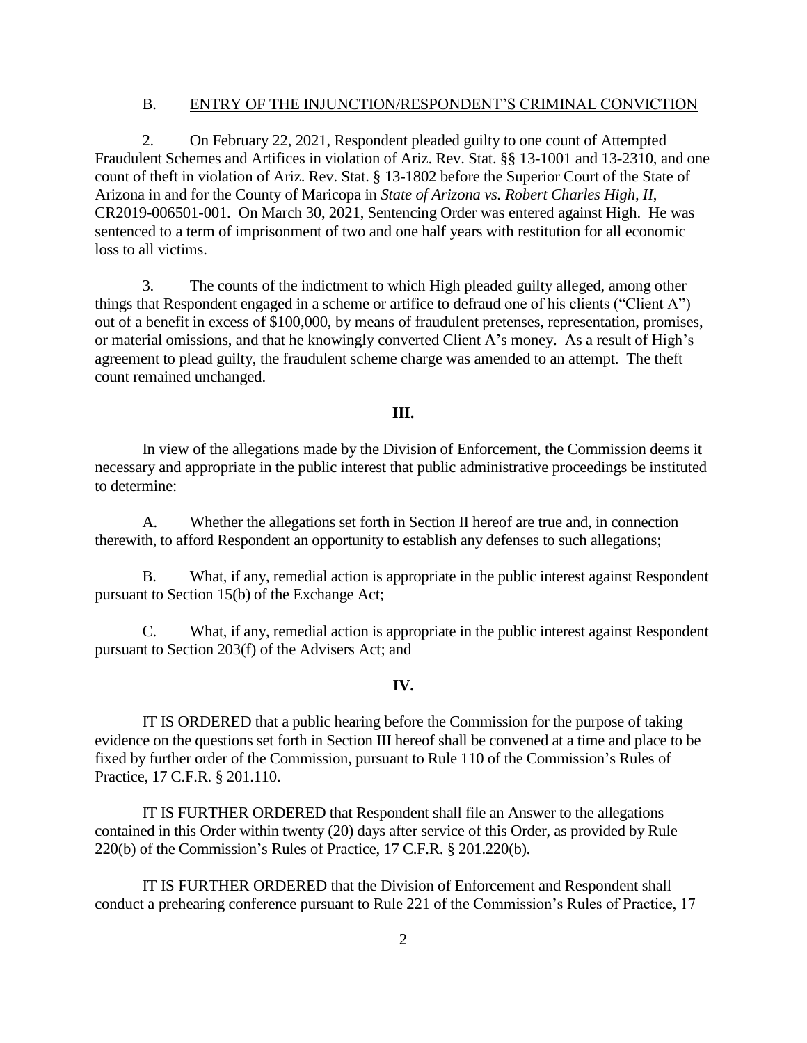### B. ENTRY OF THE INJUNCTION/RESPONDENT'S CRIMINAL CONVICTION

2. On February 22, 2021, Respondent pleaded guilty to one count of Attempted Fraudulent Schemes and Artifices in violation of Ariz. Rev. Stat. §§ 13-1001 and 13-2310, and one count of theft in violation of Ariz. Rev. Stat. § 13-1802 before the Superior Court of the State of Arizona in and for the County of Maricopa in *State of Arizona vs. Robert Charles High, II*, CR2019-006501-001. On March 30, 2021, Sentencing Order was entered against High. He was sentenced to a term of imprisonment of two and one half years with restitution for all economic loss to all victims.

3. The counts of the indictment to which High pleaded guilty alleged, among other things that Respondent engaged in a scheme or artifice to defraud one of his clients ("Client A") out of a benefit in excess of \$100,000, by means of fraudulent pretenses, representation, promises, or material omissions, and that he knowingly converted Client A's money. As a result of High's agreement to plead guilty, the fraudulent scheme charge was amended to an attempt. The theft count remained unchanged.

## **III.**

In view of the allegations made by the Division of Enforcement, the Commission deems it necessary and appropriate in the public interest that public administrative proceedings be instituted to determine:

A. Whether the allegations set forth in Section II hereof are true and, in connection therewith, to afford Respondent an opportunity to establish any defenses to such allegations;

B. What, if any, remedial action is appropriate in the public interest against Respondent pursuant to Section 15(b) of the Exchange Act;

C. What, if any, remedial action is appropriate in the public interest against Respondent pursuant to Section 203(f) of the Advisers Act; and

#### **IV.**

IT IS ORDERED that a public hearing before the Commission for the purpose of taking evidence on the questions set forth in Section III hereof shall be convened at a time and place to be fixed by further order of the Commission, pursuant to Rule 110 of the Commission's Rules of Practice, 17 C.F.R. § 201.110.

IT IS FURTHER ORDERED that Respondent shall file an Answer to the allegations contained in this Order within twenty (20) days after service of this Order, as provided by Rule 220(b) of the Commission's Rules of Practice, 17 C.F.R. § 201.220(b).

IT IS FURTHER ORDERED that the Division of Enforcement and Respondent shall conduct a prehearing conference pursuant to Rule 221 of the Commission's Rules of Practice, 17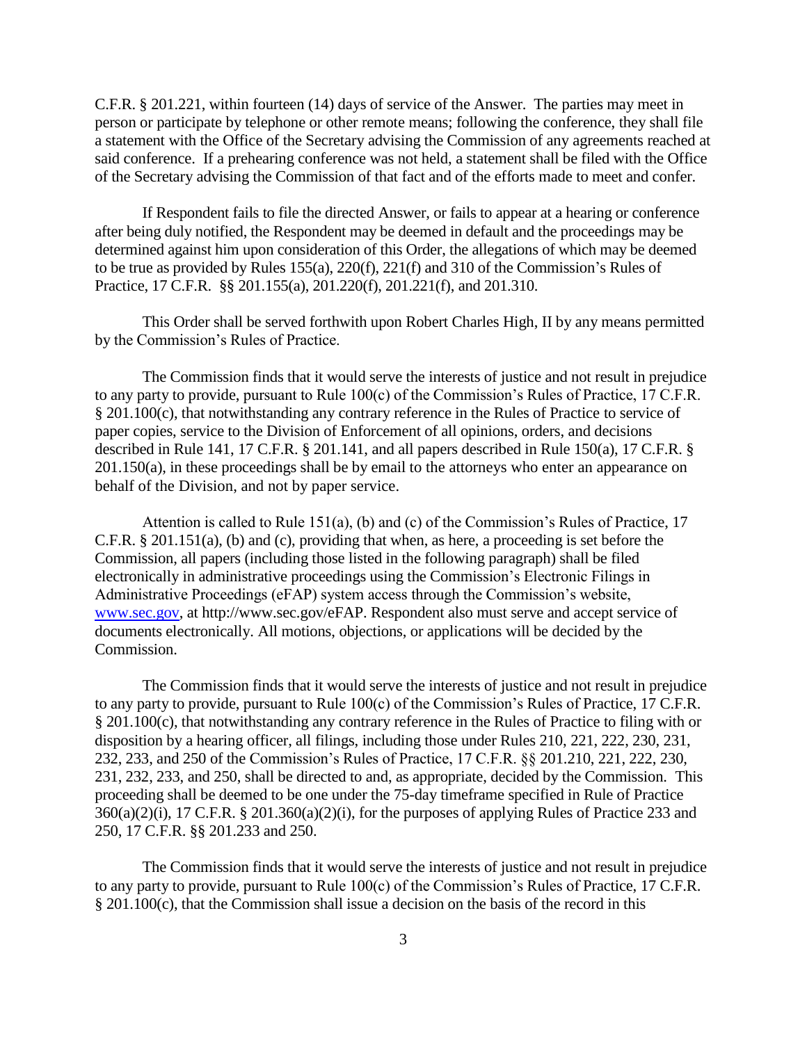C.F.R. § 201.221, within fourteen (14) days of service of the Answer. The parties may meet in person or participate by telephone or other remote means; following the conference, they shall file a statement with the Office of the Secretary advising the Commission of any agreements reached at said conference. If a prehearing conference was not held, a statement shall be filed with the Office of the Secretary advising the Commission of that fact and of the efforts made to meet and confer.

If Respondent fails to file the directed Answer, or fails to appear at a hearing or conference after being duly notified, the Respondent may be deemed in default and the proceedings may be determined against him upon consideration of this Order, the allegations of which may be deemed to be true as provided by Rules 155(a), 220(f), 221(f) and 310 of the Commission's Rules of Practice, 17 C.F.R. §§ 201.155(a), 201.220(f), 201.221(f), and 201.310.

This Order shall be served forthwith upon Robert Charles High, II by any means permitted by the Commission's Rules of Practice.

The Commission finds that it would serve the interests of justice and not result in prejudice to any party to provide, pursuant to Rule 100(c) of the Commission's Rules of Practice, 17 C.F.R. § 201.100(c), that notwithstanding any contrary reference in the Rules of Practice to service of paper copies, service to the Division of Enforcement of all opinions, orders, and decisions described in Rule 141, 17 C.F.R. § 201.141, and all papers described in Rule 150(a), 17 C.F.R. § 201.150(a), in these proceedings shall be by email to the attorneys who enter an appearance on behalf of the Division, and not by paper service.

Attention is called to Rule 151(a), (b) and (c) of the Commission's Rules of Practice, 17 C.F.R. § 201.151(a), (b) and (c), providing that when, as here, a proceeding is set before the Commission, all papers (including those listed in the following paragraph) shall be filed electronically in administrative proceedings using the Commission's Electronic Filings in Administrative Proceedings (eFAP) system access through the Commission's website, [www.sec.gov,](http://www.sec.gov/) at http://www.sec.gov/eFAP. Respondent also must serve and accept service of documents electronically. All motions, objections, or applications will be decided by the Commission.

The Commission finds that it would serve the interests of justice and not result in prejudice to any party to provide, pursuant to Rule 100(c) of the Commission's Rules of Practice, 17 C.F.R. § 201.100(c), that notwithstanding any contrary reference in the Rules of Practice to filing with or disposition by a hearing officer, all filings, including those under Rules 210, 221, 222, 230, 231, 232, 233, and 250 of the Commission's Rules of Practice, 17 C.F.R. §§ 201.210, 221, 222, 230, 231, 232, 233, and 250, shall be directed to and, as appropriate, decided by the Commission. This proceeding shall be deemed to be one under the 75-day timeframe specified in Rule of Practice  $360(a)(2)(i)$ , 17 C.F.R. § 201.360(a)(2)(i), for the purposes of applying Rules of Practice 233 and 250, 17 C.F.R. §§ 201.233 and 250.

The Commission finds that it would serve the interests of justice and not result in prejudice to any party to provide, pursuant to Rule 100(c) of the Commission's Rules of Practice, 17 C.F.R. § 201.100(c), that the Commission shall issue a decision on the basis of the record in this